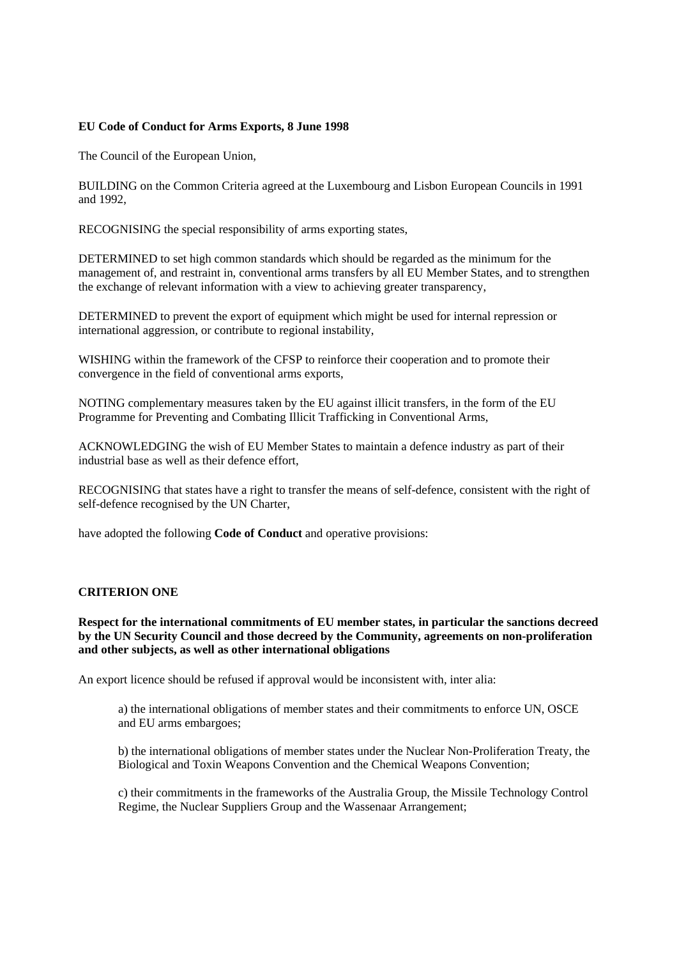# **EU Code of Conduct for Arms Exports, 8 June 1998**

The Council of the European Union,

BUILDING on the Common Criteria agreed at the Luxembourg and Lisbon European Councils in 1991 and 1992,

RECOGNISING the special responsibility of arms exporting states,

DETERMINED to set high common standards which should be regarded as the minimum for the management of, and restraint in, conventional arms transfers by all EU Member States, and to strengthen the exchange of relevant information with a view to achieving greater transparency,

DETERMINED to prevent the export of equipment which might be used for internal repression or international aggression, or contribute to regional instability,

WISHING within the framework of the CFSP to reinforce their cooperation and to promote their convergence in the field of conventional arms exports,

NOTING complementary measures taken by the EU against illicit transfers, in the form of the EU Programme for Preventing and Combating Illicit Trafficking in Conventional Arms,

ACKNOWLEDGING the wish of EU Member States to maintain a defence industry as part of their industrial base as well as their defence effort,

RECOGNISING that states have a right to transfer the means of self-defence, consistent with the right of self-defence recognised by the UN Charter,

have adopted the following **Code of Conduct** and operative provisions:

# **CRITERION ONE**

**Respect for the international commitments of EU member states, in particular the sanctions decreed by the UN Security Council and those decreed by the Community, agreements on non-proliferation and other subjects, as well as other international obligations** 

An export licence should be refused if approval would be inconsistent with, inter alia:

a) the international obligations of member states and their commitments to enforce UN, OSCE and EU arms embargoes;

b) the international obligations of member states under the Nuclear Non-Proliferation Treaty, the Biological and Toxin Weapons Convention and the Chemical Weapons Convention;

c) their commitments in the frameworks of the Australia Group, the Missile Technology Control Regime, the Nuclear Suppliers Group and the Wassenaar Arrangement;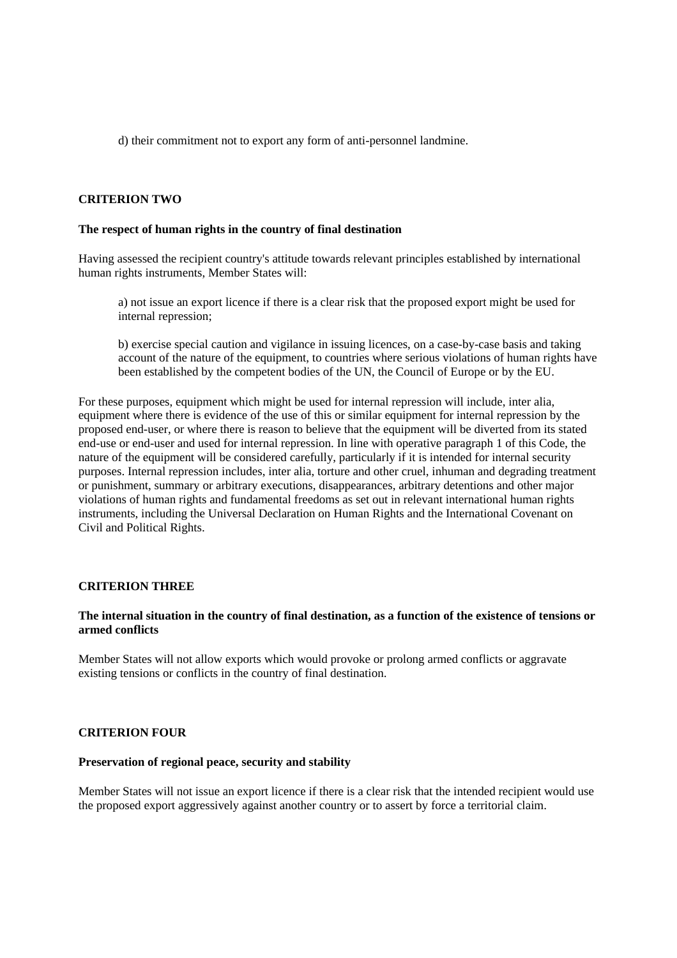d) their commitment not to export any form of anti-personnel landmine.

## **CRITERION TWO**

#### **The respect of human rights in the country of final destination**

Having assessed the recipient country's attitude towards relevant principles established by international human rights instruments, Member States will:

a) not issue an export licence if there is a clear risk that the proposed export might be used for internal repression;

b) exercise special caution and vigilance in issuing licences, on a case-by-case basis and taking account of the nature of the equipment, to countries where serious violations of human rights have been established by the competent bodies of the UN, the Council of Europe or by the EU.

For these purposes, equipment which might be used for internal repression will include, inter alia, equipment where there is evidence of the use of this or similar equipment for internal repression by the proposed end-user, or where there is reason to believe that the equipment will be diverted from its stated end-use or end-user and used for internal repression. In line with operative paragraph 1 of this Code, the nature of the equipment will be considered carefully, particularly if it is intended for internal security purposes. Internal repression includes, inter alia, torture and other cruel, inhuman and degrading treatment or punishment, summary or arbitrary executions, disappearances, arbitrary detentions and other major violations of human rights and fundamental freedoms as set out in relevant international human rights instruments, including the Universal Declaration on Human Rights and the International Covenant on Civil and Political Rights.

#### **CRITERION THREE**

#### **The internal situation in the country of final destination, as a function of the existence of tensions or armed conflicts**

Member States will not allow exports which would provoke or prolong armed conflicts or aggravate existing tensions or conflicts in the country of final destination.

# **CRITERION FOUR**

#### **Preservation of regional peace, security and stability**

Member States will not issue an export licence if there is a clear risk that the intended recipient would use the proposed export aggressively against another country or to assert by force a territorial claim.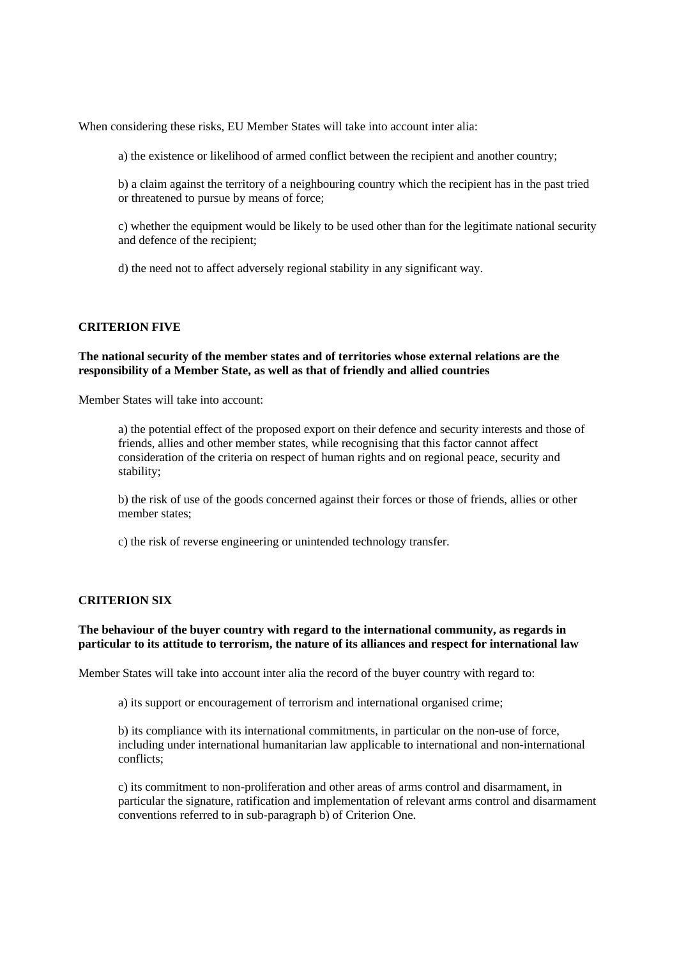When considering these risks, EU Member States will take into account inter alia:

a) the existence or likelihood of armed conflict between the recipient and another country;

b) a claim against the territory of a neighbouring country which the recipient has in the past tried or threatened to pursue by means of force;

c) whether the equipment would be likely to be used other than for the legitimate national security and defence of the recipient;

d) the need not to affect adversely regional stability in any significant way.

# **CRITERION FIVE**

#### **The national security of the member states and of territories whose external relations are the responsibility of a Member State, as well as that of friendly and allied countries**

Member States will take into account:

a) the potential effect of the proposed export on their defence and security interests and those of friends, allies and other member states, while recognising that this factor cannot affect consideration of the criteria on respect of human rights and on regional peace, security and stability;

b) the risk of use of the goods concerned against their forces or those of friends, allies or other member states;

c) the risk of reverse engineering or unintended technology transfer.

#### **CRITERION SIX**

# **The behaviour of the buyer country with regard to the international community, as regards in particular to its attitude to terrorism, the nature of its alliances and respect for international law**

Member States will take into account inter alia the record of the buyer country with regard to:

a) its support or encouragement of terrorism and international organised crime;

b) its compliance with its international commitments, in particular on the non-use of force, including under international humanitarian law applicable to international and non-international conflicts;

c) its commitment to non-proliferation and other areas of arms control and disarmament, in particular the signature, ratification and implementation of relevant arms control and disarmament conventions referred to in sub-paragraph b) of Criterion One.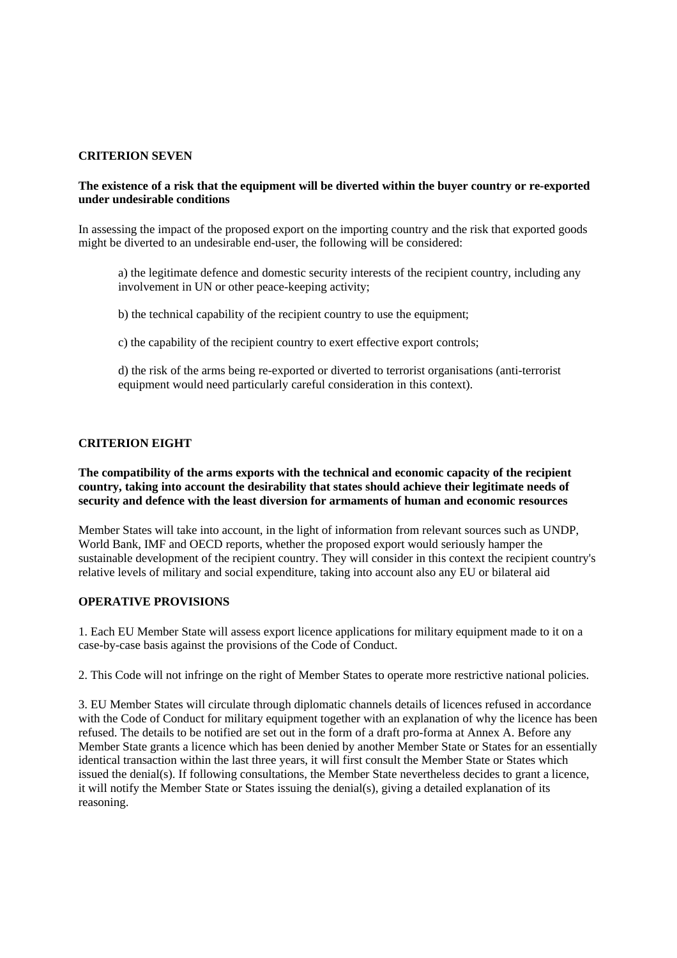## **CRITERION SEVEN**

## **The existence of a risk that the equipment will be diverted within the buyer country or re-exported under undesirable conditions**

In assessing the impact of the proposed export on the importing country and the risk that exported goods might be diverted to an undesirable end-user, the following will be considered:

a) the legitimate defence and domestic security interests of the recipient country, including any involvement in UN or other peace-keeping activity;

b) the technical capability of the recipient country to use the equipment;

c) the capability of the recipient country to exert effective export controls;

d) the risk of the arms being re-exported or diverted to terrorist organisations (anti-terrorist equipment would need particularly careful consideration in this context).

# **CRITERION EIGHT**

**The compatibility of the arms exports with the technical and economic capacity of the recipient country, taking into account the desirability that states should achieve their legitimate needs of security and defence with the least diversion for armaments of human and economic resources** 

Member States will take into account, in the light of information from relevant sources such as UNDP, World Bank, IMF and OECD reports, whether the proposed export would seriously hamper the sustainable development of the recipient country. They will consider in this context the recipient country's relative levels of military and social expenditure, taking into account also any EU or bilateral aid

# **OPERATIVE PROVISIONS**

1. Each EU Member State will assess export licence applications for military equipment made to it on a case-by-case basis against the provisions of the Code of Conduct.

2. This Code will not infringe on the right of Member States to operate more restrictive national policies.

3. EU Member States will circulate through diplomatic channels details of licences refused in accordance with the Code of Conduct for military equipment together with an explanation of why the licence has been refused. The details to be notified are set out in the form of a draft pro-forma at Annex A. Before any Member State grants a licence which has been denied by another Member State or States for an essentially identical transaction within the last three years, it will first consult the Member State or States which issued the denial(s). If following consultations, the Member State nevertheless decides to grant a licence, it will notify the Member State or States issuing the denial(s), giving a detailed explanation of its reasoning.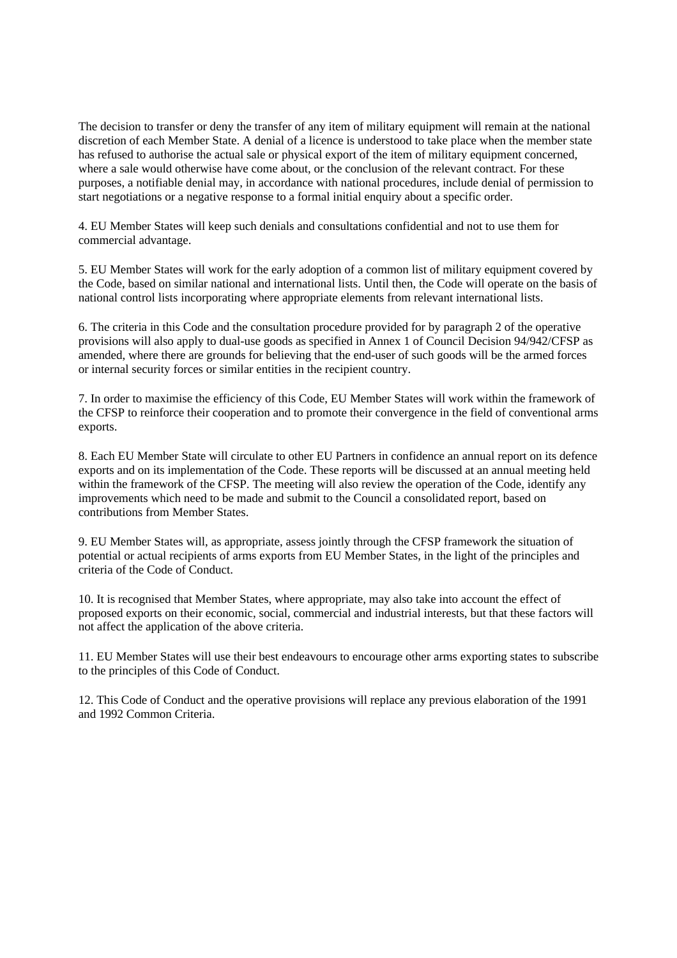The decision to transfer or deny the transfer of any item of military equipment will remain at the national discretion of each Member State. A denial of a licence is understood to take place when the member state has refused to authorise the actual sale or physical export of the item of military equipment concerned, where a sale would otherwise have come about, or the conclusion of the relevant contract. For these purposes, a notifiable denial may, in accordance with national procedures, include denial of permission to start negotiations or a negative response to a formal initial enquiry about a specific order.

4. EU Member States will keep such denials and consultations confidential and not to use them for commercial advantage.

5. EU Member States will work for the early adoption of a common list of military equipment covered by the Code, based on similar national and international lists. Until then, the Code will operate on the basis of national control lists incorporating where appropriate elements from relevant international lists.

6. The criteria in this Code and the consultation procedure provided for by paragraph 2 of the operative provisions will also apply to dual-use goods as specified in Annex 1 of Council Decision 94/942/CFSP as amended, where there are grounds for believing that the end-user of such goods will be the armed forces or internal security forces or similar entities in the recipient country.

7. In order to maximise the efficiency of this Code, EU Member States will work within the framework of the CFSP to reinforce their cooperation and to promote their convergence in the field of conventional arms exports.

8. Each EU Member State will circulate to other EU Partners in confidence an annual report on its defence exports and on its implementation of the Code. These reports will be discussed at an annual meeting held within the framework of the CFSP. The meeting will also review the operation of the Code, identify any improvements which need to be made and submit to the Council a consolidated report, based on contributions from Member States.

9. EU Member States will, as appropriate, assess jointly through the CFSP framework the situation of potential or actual recipients of arms exports from EU Member States, in the light of the principles and criteria of the Code of Conduct.

10. It is recognised that Member States, where appropriate, may also take into account the effect of proposed exports on their economic, social, commercial and industrial interests, but that these factors will not affect the application of the above criteria.

11. EU Member States will use their best endeavours to encourage other arms exporting states to subscribe to the principles of this Code of Conduct.

12. This Code of Conduct and the operative provisions will replace any previous elaboration of the 1991 and 1992 Common Criteria.